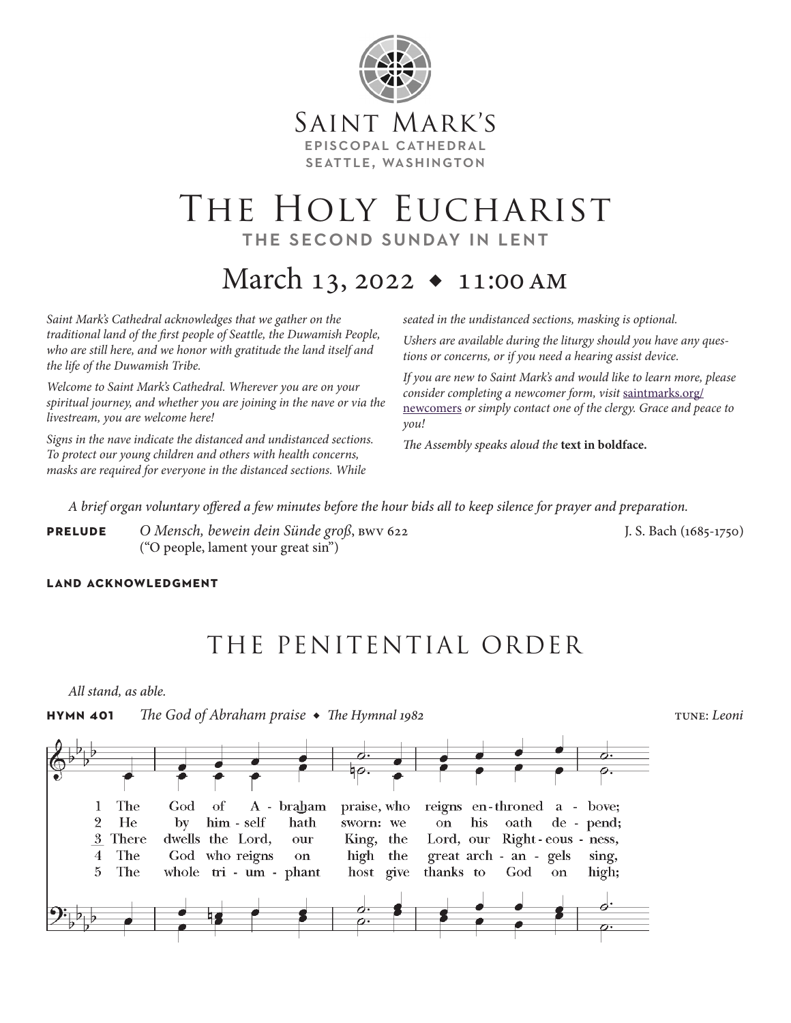

# THE HOLY EUCHARIST the second sunday in lent

# March 13, 2022  $\bullet$  11:00 AM

*Saint Mark's Cathedral acknowledges that we gather on the traditional land of the first people of Seattle, the Duwamish People, who are still here, and we honor with gratitude the land itself and the life of the Duwamish Tribe.* 

*Welcome to Saint Mark's Cathedral. Wherever you are on your spiritual journey, and whether you are joining in the nave or via the livestream, you are welcome here!*

*Signs in the nave indicate the distanced and undistanced sections. To protect our young children and others with health concerns, masks are required for everyone in the distanced sections. While* 

*seated in the undistanced sections, masking is optional.*

*Ushers are available during the liturgy should you have any questions or concerns, or if you need a hearing assist device.*

*If you are new to Saint Mark's and would like to learn more, please consider completing a newcomer form, visit* saintmarks.org/ newcomers *or simply contact one of the clergy. Grace and peace to you!*

*The Assembly speaks aloud the* **text in boldface.**

*A brief organ voluntary offered a few minutes before the hour bids all to keep silence for prayer and preparation.*

**PRELUDE** *O Mensch, bewein dein Sünde groß, bwv 622* J. S. Bach (1685-1750) ("O people, lament your great sin")

#### **land acknowledgment**

## THE PENITENTIAL ORDER

*All stand, as able.*

**hymn 401** The God of Abraham praise ◆ The Hymnal 1982 tune: *Leoni* TUNE: *Leoni* 

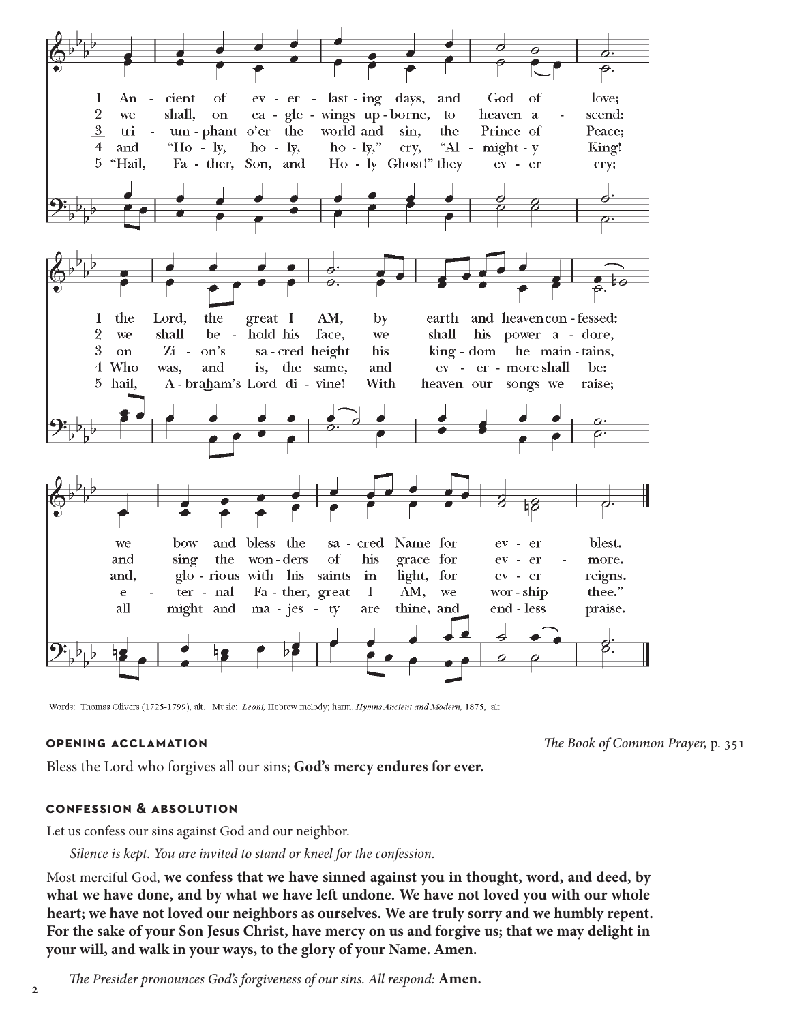

Words: Thomas Olivers (1725-1799), alt. Music: Leoni, Hebrew melody; harm. Hymns Ancient and Modern, 1875, alt.

**opening acclamation** *The Book of Common Prayer,* p. 351

Bless the Lord who forgives all our sins; **God's mercy endures for ever.**

#### **confession & absolution**

Let us confess our sins against God and our neighbor.

*Silence is kept. You are invited to stand or kneel for the confession.*

Most merciful God, **we confess that we have sinned against you in thought, word, and deed, by what we have done, and by what we have left undone. We have not loved you with our whole heart; we have not loved our neighbors as ourselves. We are truly sorry and we humbly repent. For the sake of your Son Jesus Christ, have mercy on us and forgive us; that we may delight in your will, and walk in your ways, to the glory of your Name. Amen.**

*The Presider pronounces God's forgiveness of our sins. All respond:* **Amen.**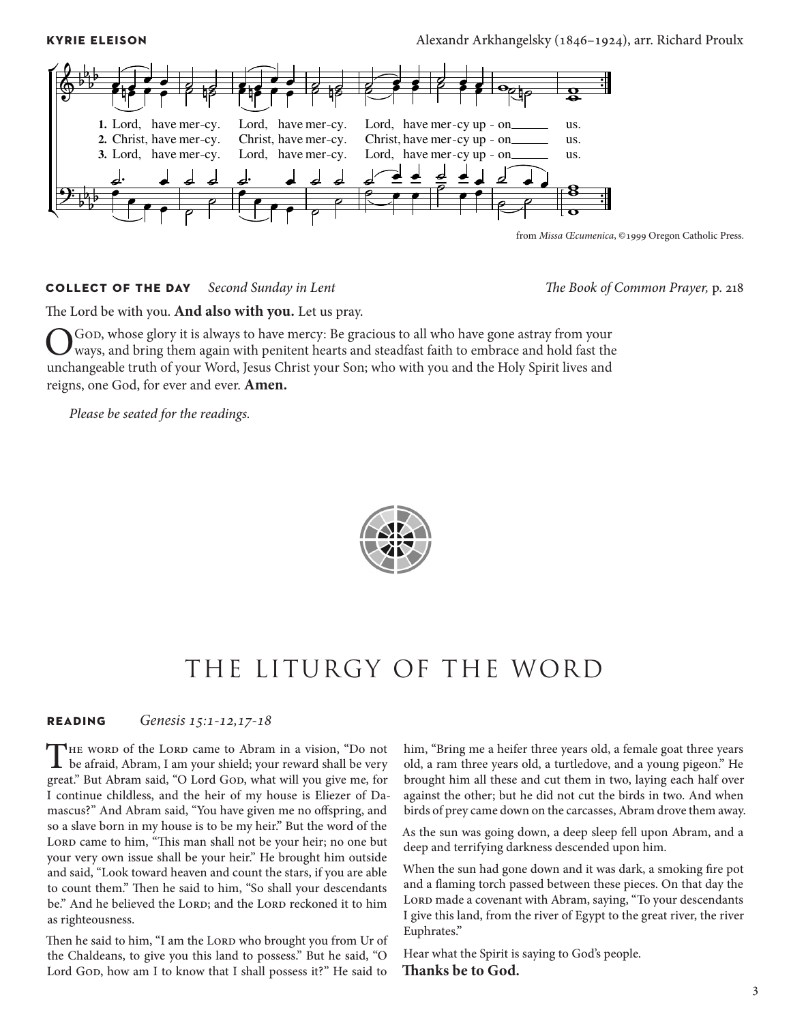

**collect of the day** *Second Sunday in Lent The Book of Common Prayer,* p. 218

The Lord be with you. **And also with you.** Let us pray.

God, whose glory it is always to have mercy: Be gracious to all who have gone astray from your ways, and bring them again with penitent hearts and steadfast faith to embrace and hold fast the unchangeable truth of your Word, Jesus Christ your Son; who with you and the Holy Spirit lives and reigns, one God, for ever and ever. **Amen.**

*Please be seated for the readings.*



## THE LITURGY OF THE WORD

#### **reading** *Genesis 15:1-12,17-18*

THE WORD of the LORD came to Abram in a vision, "Do not be afraid, Abram, I am your shield; your reward shall be very great." But Abram said, "O Lord God, what will you give me, for I continue childless, and the heir of my house is Eliezer of Damascus?" And Abram said, "You have given me no offspring, and so a slave born in my house is to be my heir." But the word of the LORD came to him, "This man shall not be your heir; no one but your very own issue shall be your heir." He brought him outside and said, "Look toward heaven and count the stars, if you are able to count them." Then he said to him, "So shall your descendants be." And he believed the LORD; and the LORD reckoned it to him as righteousness.

Then he said to him, "I am the LORD who brought you from Ur of the Chaldeans, to give you this land to possess." But he said, "O Lord God, how am I to know that I shall possess it?" He said to him, "Bring me a heifer three years old, a female goat three years old, a ram three years old, a turtledove, and a young pigeon." He brought him all these and cut them in two, laying each half over against the other; but he did not cut the birds in two. And when birds of prey came down on the carcasses, Abram drove them away.

As the sun was going down, a deep sleep fell upon Abram, and a deep and terrifying darkness descended upon him.

When the sun had gone down and it was dark, a smoking fire pot and a flaming torch passed between these pieces. On that day the LORD made a covenant with Abram, saying, "To your descendants I give this land, from the river of Egypt to the great river, the river Euphrates."

Hear what the Spirit is saying to God's people. **Thanks be to God.**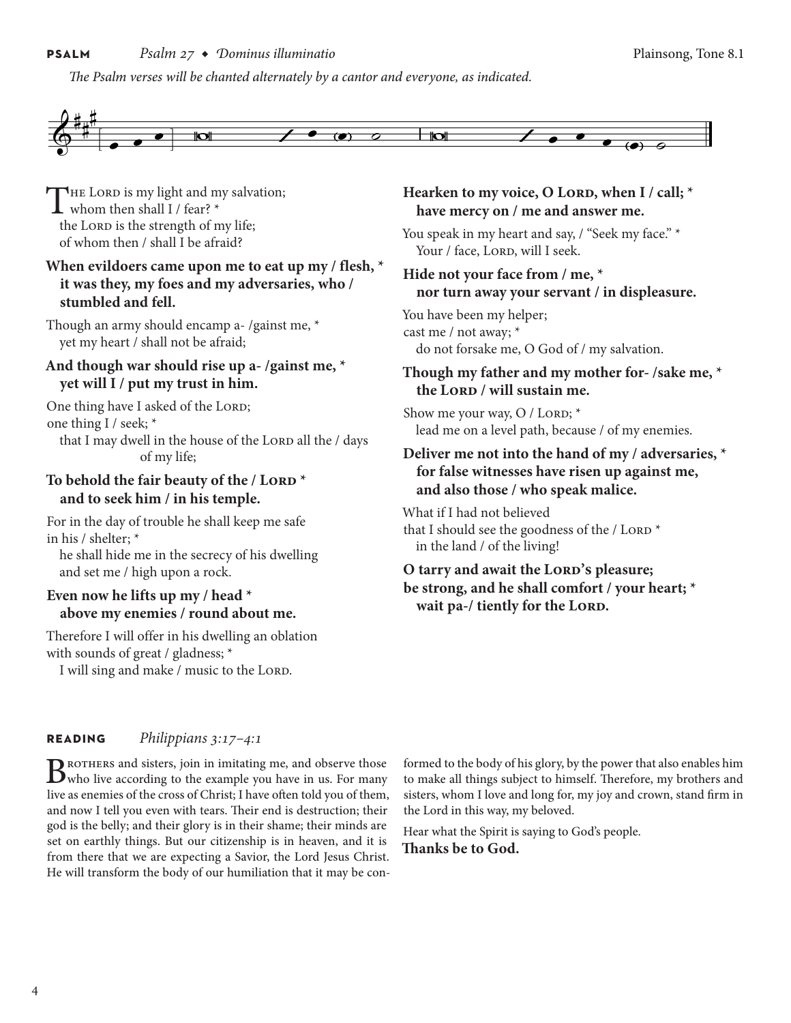*The Psalm verses will be chanted alternately by a cantor and everyone, as indicated.*



THE LORD is my light and my salvation; **L** whom then shall I / fear?  $*$ the LORD is the strength of my life; of whom then / shall I be afraid?

#### **When evildoers came upon me to eat up my / flesh, \* it was they, my foes and my adversaries, who / stumbled and fell.**

Though an army should encamp a- /gainst me, \* yet my heart / shall not be afraid;

#### **And though war should rise up a- /gainst me, \* yet will I / put my trust in him.**

One thing have I asked of the LORD;

one thing I / seek; \*

that I may dwell in the house of the Lord all the / days of my life;

#### To behold the fair beauty of the / LORD \*  **and to seek him / in his temple.**

For in the day of trouble he shall keep me safe in his / shelter; \*

 he shall hide me in the secrecy of his dwelling and set me / high upon a rock.

#### **Even now he lifts up my / head \* above my enemies / round about me.**

Therefore I will offer in his dwelling an oblation with sounds of great / gladness; \*

I will sing and make / music to the LORD.

### Hearken to my voice, O LORD, when I / call;  $*$  **have mercy on / me and answer me.**

You speak in my heart and say, / "Seek my face." \* Your / face, LORD, will I seek.

### **Hide not your face from / me, \* nor turn away your servant / in displeasure.**

You have been my helper; cast me / not away; \* do not forsake me, O God of / my salvation.

### **Though my father and my mother for- /sake me, \*** the LORD / will sustain me.

Show me your way,  $O /$  Lord; \* lead me on a level path, because / of my enemies.

### **Deliver me not into the hand of my / adversaries, \* for false witnesses have risen up against me, and also those / who speak malice.**

What if I had not believed

that I should see the goodness of the  $/$  LORD  $*$ in the land / of the living!

### O tarry and await the LORD's pleasure; **be strong, and he shall comfort / your heart; \*** wait pa-/ tiently for the LORD.

#### **reading** *Philippians 3:17–4:1*

 $\mathbf{B}$  rothers and sisters, join in imitating me, and observe those who live according to the example you have in us. For many live as enemies of the cross of Christ; I have often told you of them, and now I tell you even with tears. Their end is destruction; their god is the belly; and their glory is in their shame; their minds are set on earthly things. But our citizenship is in heaven, and it is from there that we are expecting a Savior, the Lord Jesus Christ. He will transform the body of our humiliation that it may be conformed to the body of his glory, by the power that also enables him to make all things subject to himself. Therefore, my brothers and sisters, whom I love and long for, my joy and crown, stand firm in the Lord in this way, my beloved.

Hear what the Spirit is saying to God's people. **Thanks be to God.**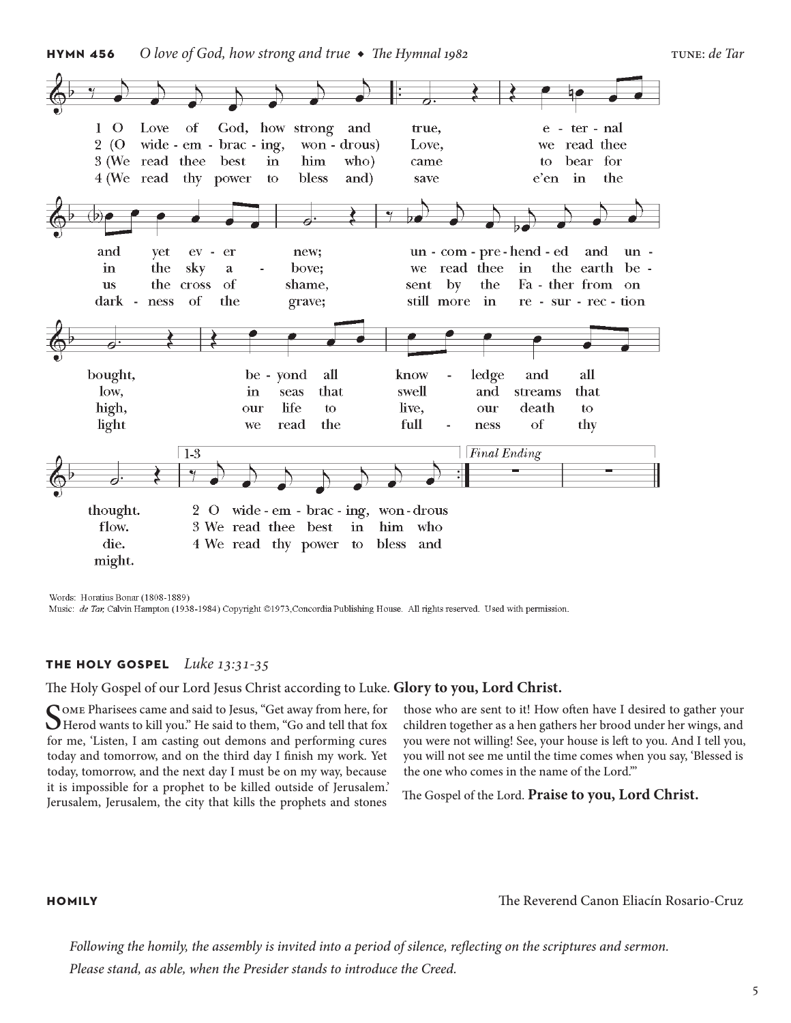

Words: Horatius Bonar (1808-1889)

Music: de Tar, Calvin Hampton (1938-1984) Copyright ©1973, Concordia Publishing House. All rights reserved. Used with permission.

#### **the holy gospel** *Luke 13:31-35*

The Holy Gospel of our Lord Jesus Christ according to Luke. **Glory to you, Lord Christ.**

COME Pharisees came and said to Jesus, "Get away from here, for Herod wants to kill you." He said to them, "Go and tell that fox for me, 'Listen, I am casting out demons and performing cures today and tomorrow, and on the third day I finish my work. Yet today, tomorrow, and the next day I must be on my way, because it is impossible for a prophet to be killed outside of Jerusalem.' Jerusalem, Jerusalem, the city that kills the prophets and stones

those who are sent to it! How often have I desired to gather your children together as a hen gathers her brood under her wings, and you were not willing! See, your house is left to you. And I tell you, you will not see me until the time comes when you say, 'Blessed is the one who comes in the name of the Lord.'"

The Gospel of the Lord. **Praise to you, Lord Christ.**

**homily** The Reverend Canon Eliacín Rosario-Cruz

*Following the homily, the assembly is invited into a period of silence, reflecting on the scriptures and sermon. Please stand, as able, when the Presider stands to introduce the Creed.*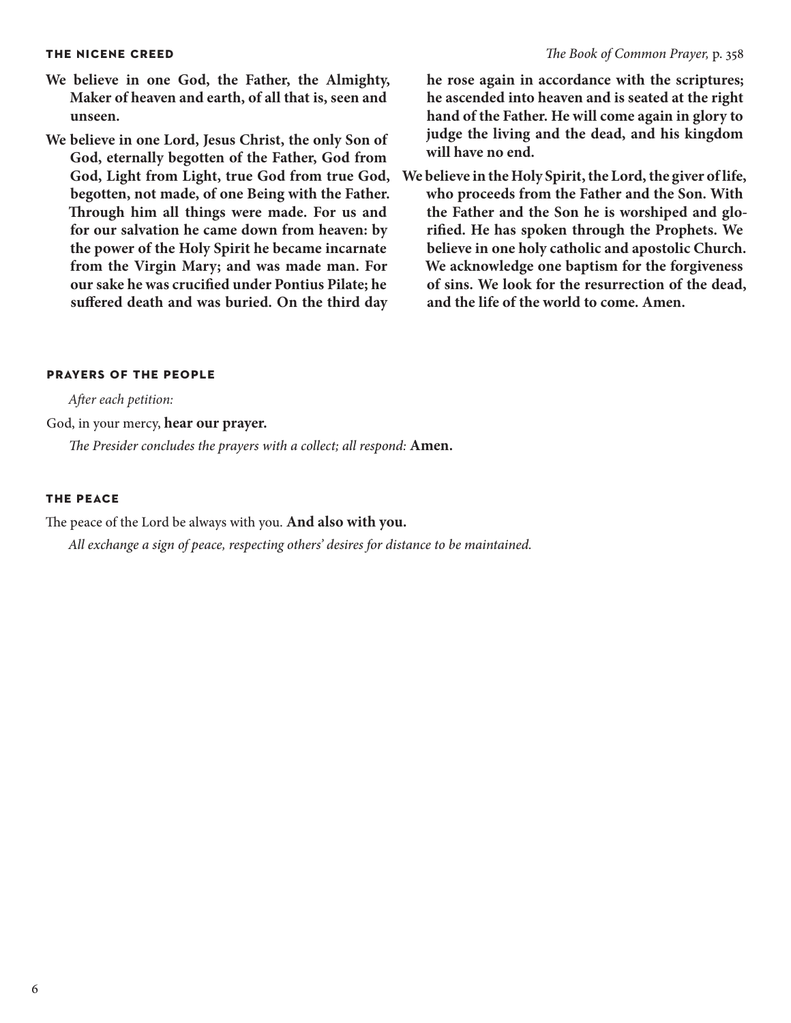- **We believe in one God, the Father, the Almighty, Maker of heaven and earth, of all that is, seen and unseen.**
- **We believe in one Lord, Jesus Christ, the only Son of God, eternally begotten of the Father, God from God, Light from Light, true God from true God, begotten, not made, of one Being with the Father. Through him all things were made. For us and for our salvation he came down from heaven: by the power of the Holy Spirit he became incarnate from the Virgin Mary; and was made man. For our sake he was crucified under Pontius Pilate; he suffered death and was buried. On the third day**

**he rose again in accordance with the scriptures; he ascended into heaven and is seated at the right hand of the Father. He will come again in glory to judge the living and the dead, and his kingdom will have no end.**

**We believe in the Holy Spirit, the Lord, the giver of life, who proceeds from the Father and the Son. With the Father and the Son he is worshiped and glorified. He has spoken through the Prophets. We believe in one holy catholic and apostolic Church. We acknowledge one baptism for the forgiveness of sins. We look for the resurrection of the dead, and the life of the world to come. Amen.**

#### **prayers of the people**

*After each petition:*

God, in your mercy, **hear our prayer.**

*The Presider concludes the prayers with a collect; all respond:* **Amen.**

#### **the peace**

The peace of the Lord be always with you. **And also with you.**

*All exchange a sign of peace, respecting others' desires for distance to be maintained.*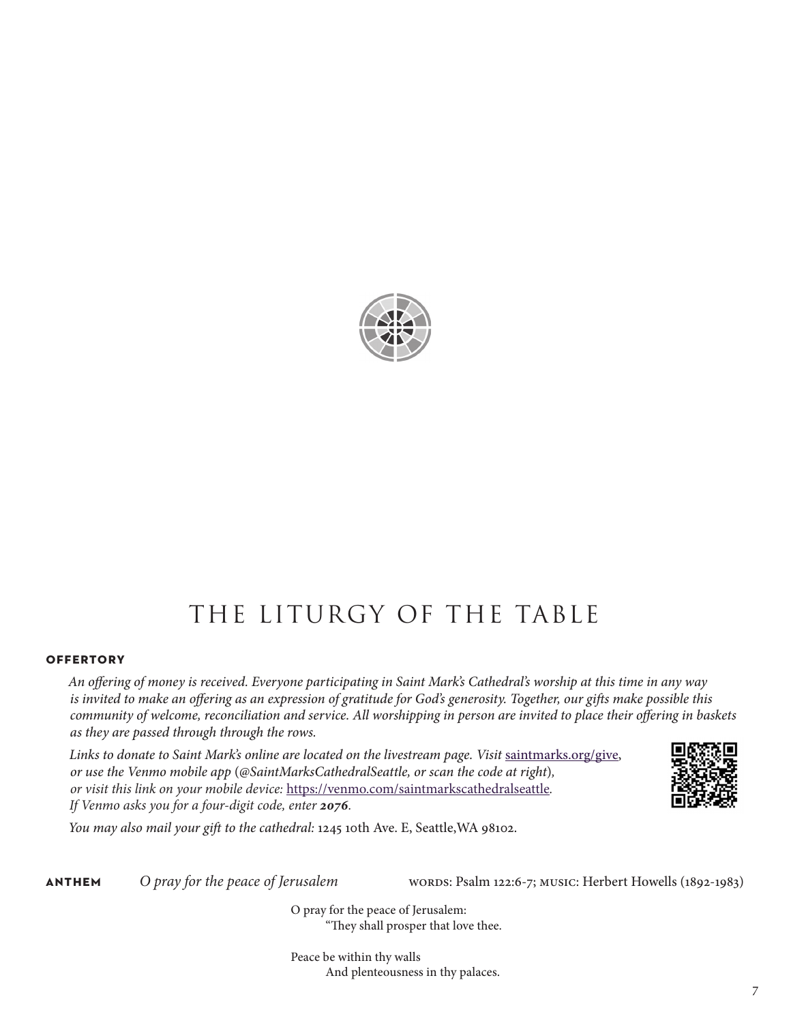

# THE LITURGY OF THE TABLE

#### **offertory**

*An offering of money is received. Everyone participating in Saint Mark's Cathedral's worship at this time in any way is invited to make an offering as an expression of gratitude for God's generosity. Together, our gifts make possible this community of welcome, reconciliation and service. All worshipping in person are invited to place their offering in baskets as they are passed through through the rows.* 

Links to donate to Saint Mark's online are located on the livestream page. Visit [saintmarks.org/give,](http://saintmarks.org/give) *or use the Venmo mobile app* (*@SaintMarksCathedralSeattle, or scan the code at right*)*, or visit this link on your mobile device:* <https://venmo.com/saintmarkscathedralseattle>*. If Venmo asks you for a four-digit code, enter 2076.*



*You may also mail your gift to the cathedral:* 1245 10th Ave. E, Seattle,WA 98102.

**anthem** O pray for the peace of Jerusalem *words: Psalm 122:6-7; MUSIC: Herbert Howells* (1892-1983)

O pray for the peace of Jerusalem: "They shall prosper that love thee.

Peace be within thy walls And plenteousness in thy palaces.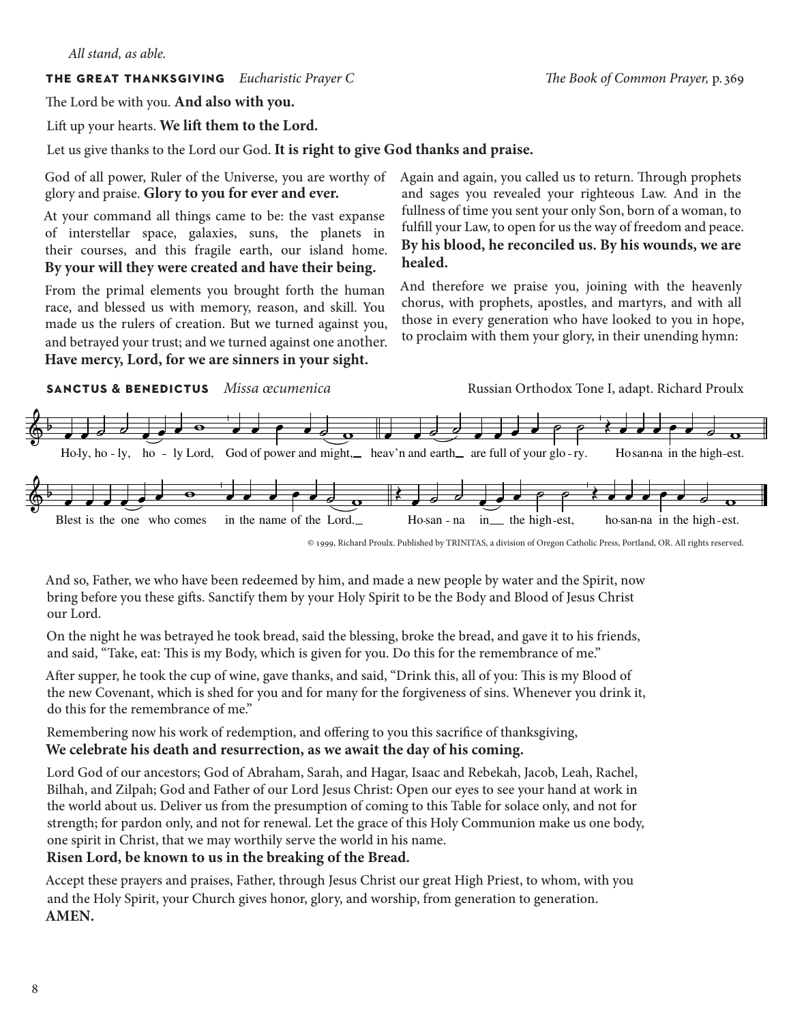#### **the great thanksgiving** *Eucharistic Prayer C The Book of Common Prayer,* p. 369

The Lord be with you. **And also with you.** 

Lift up your hearts. **We lift them to the Lord.** 

Let us give thanks to the Lord our God. **It is right to give God thanks and praise.**

God of all power, Ruler of the Universe, you are worthy of glory and praise. **Glory to you for ever and ever.** 

At your command all things came to be: the vast expanse of interstellar space, galaxies, suns, the planets in their courses, and this fragile earth, our island home. **By your will they were created and have their being.**

From the primal elements you brought forth the human race, and blessed us with memory, reason, and skill. You made us the rulers of creation. But we turned against you, and betrayed your trust; and we turned against one another. **Have mercy, Lord, for we are sinners in your sight.**

Again and again, you called us to return. Through prophets and sages you revealed your righteous Law. And in the fullness of time you sent your only Son, born of a woman, to fulfill your Law, to open for us the way of freedom and peace. **By his blood, he reconciled us. By his wounds, we are healed.**

And therefore we praise you, joining with the heavenly chorus, with prophets, apostles, and martyrs, and with all those in every generation who have looked to you in hope, to proclaim with them your glory, in their unending hymn:

#### **SANCTUS & BENEDICTUS** *Missa œcumenica* Russian Orthodox Tone I, adapt. Richard Proulx



*©* 1999, Richard Proulx. Published by TRINITAS, a division of Oregon Catholic Press, Portland, OR. All rights reserved.

And so, Father, we who have been redeemed by him, and made a new people by water and the Spirit, now bring before you these gifts. Sanctify them by your Holy Spirit to be the Body and Blood of Jesus Christ our Lord.

On the night he was betrayed he took bread, said the blessing, broke the bread, and gave it to his friends, and said, "Take, eat: This is my Body, which is given for you. Do this for the remembrance of me."

After supper, he took the cup of wine, gave thanks, and said, "Drink this, all of you: This is my Blood of the new Covenant, which is shed for you and for many for the forgiveness of sins. Whenever you drink it, do this for the remembrance of me."

Remembering now his work of redemption, and offering to you this sacrifice of thanksgiving, **We celebrate his death and resurrection, as we await the day of his coming.**

Lord God of our ancestors; God of Abraham, Sarah, and Hagar, Isaac and Rebekah, Jacob, Leah, Rachel, Bilhah, and Zilpah; God and Father of our Lord Jesus Christ: Open our eyes to see your hand at work in the world about us. Deliver us from the presumption of coming to this Table for solace only, and not for strength; for pardon only, and not for renewal. Let the grace of this Holy Communion make us one body, one spirit in Christ, that we may worthily serve the world in his name.

### **Risen Lord, be known to us in the breaking of the Bread.**

Accept these prayers and praises, Father, through Jesus Christ our great High Priest, to whom, with you and the Holy Spirit, your Church gives honor, glory, and worship, from generation to generation. **AMEN.**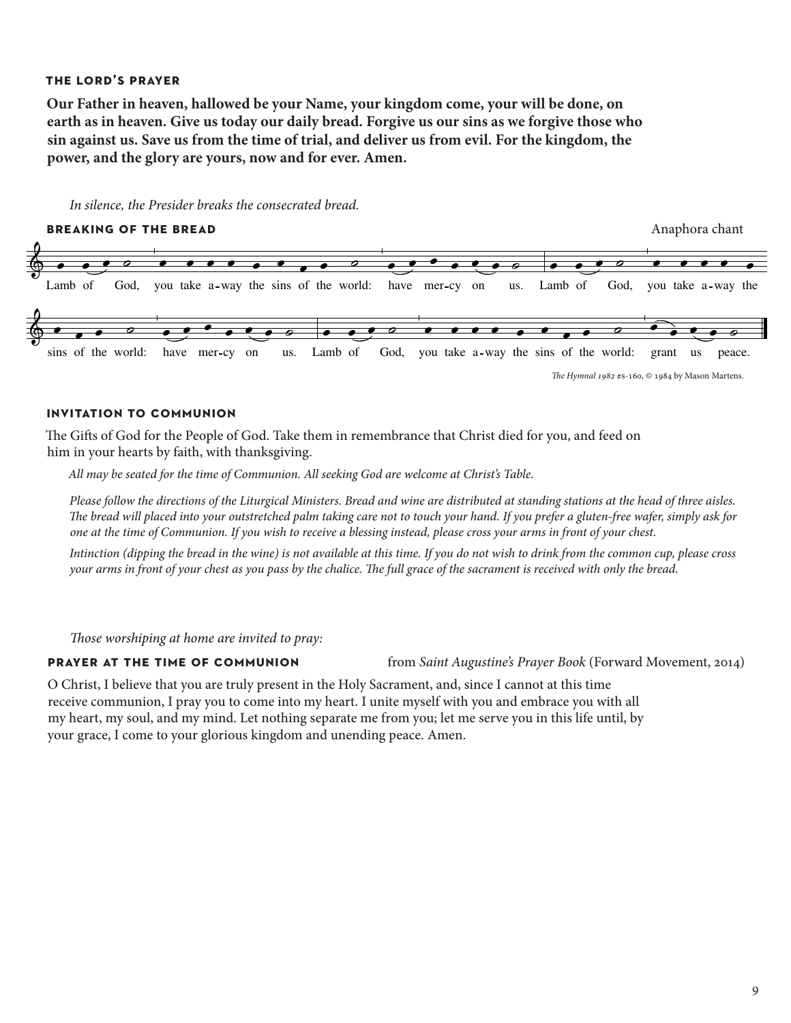#### **the lord's prayer**

**Our Father in heaven, hallowed be your Name, your kingdom come, your will be done, on earth as in heaven. Give us today our daily bread. Forgive us our sins as we forgive those who sin against us. Save us from the time of trial, and deliver us from evil. For the kingdom, the power, and the glory are yours, now and for ever. Amen.**

*In silence, the Presider breaks the consecrated bread.*



#### **invitation to communion**

The Gifts of God for the People of God. Take them in remembrance that Christ died for you, and feed on him in your hearts by faith, with thanksgiving.

*All may be seated for the time of Communion. All seeking God are welcome at Christ's Table.* 

*Please follow the directions of the Liturgical Ministers. Bread and wine are distributed at standing stations at the head of three aisles. The bread will placed into your outstretched palm taking care not to touch your hand. If you prefer a gluten-free wafer, simply ask for one at the time of Communion. If you wish to receive a blessing instead, please cross your arms in front of your chest.*

*Intinction (dipping the bread in the wine) is not available at this time. If you do not wish to drink from the common cup, please cross your arms in front of your chest as you pass by the chalice. The full grace of the sacrament is received with only the bread.*

*Those worshiping at home are invited to pray:*

**prayer at the time of communion** from *Saint Augustine's Prayer Book* (Forward Movement, 2014)

O Christ, I believe that you are truly present in the Holy Sacrament, and, since I cannot at this time receive communion, I pray you to come into my heart. I unite myself with you and embrace you with all my heart, my soul, and my mind. Let nothing separate me from you; let me serve you in this life until, by your grace, I come to your glorious kingdom and unending peace. Amen.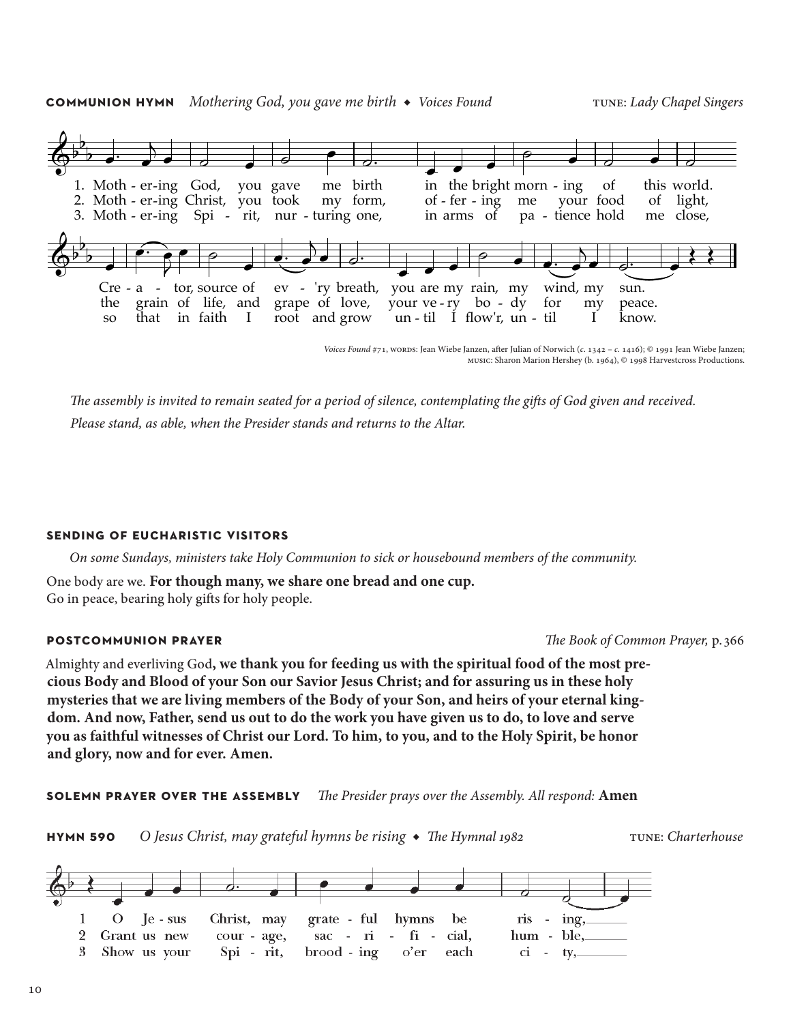

here I church <sub>17</sub> is notices, fearly visited 3 music; Sharon Marion Hershey (b. 1964), © 1998 Harvestcross Productions.<br>MUSIC: Sharon Marion Hershey (b. 1964), © 1998 Harvestcross Productions. *Voices Found* #71, WORDS: Jean Wiebe Janzen, after Julian of Norwich (*c.* 1342 – *c.* 1416); © 1991 Jean Wiebe Janzen;

*The assembly is invited to remain seated for a period of silence, contemplating the gifts of God given and received. Please stand, as able, when the Presider stands and returns to the Altar.*

#### **sending of eucharistic visitors**

*On some Sundays, ministers take Holy Communion to sick or housebound members of the community.* 

One body are we. **For though many, we share one bread and one cup.** Go in peace, bearing holy gifts for holy people.

Almighty and everliving God**, we thank you for feeding us with the spiritual food of the most precious Body and Blood of your Son our Savior Jesus Christ; and for assuring us in these holy mysteries that we are living members of the Body of your Son, and heirs of your eternal kingdom. And now, Father, send us out to do the work you have given us to do, to love and serve you as faithful witnesses of Christ our Lord. To him, to you, and to the Holy Spirit, be honor and glory, now and for ever. Amen.**

**solemn prayer over the assembly** *The Presider prays over the Assembly. All respond:* **Amen**

**hymn 590** *O Jesus Christ, may grateful hymns be rising ◆ The Hymnal 1982* TUNE: *Charterhouse* 



**postcommunion prayer** *The Book of Common Prayer,* p. 366